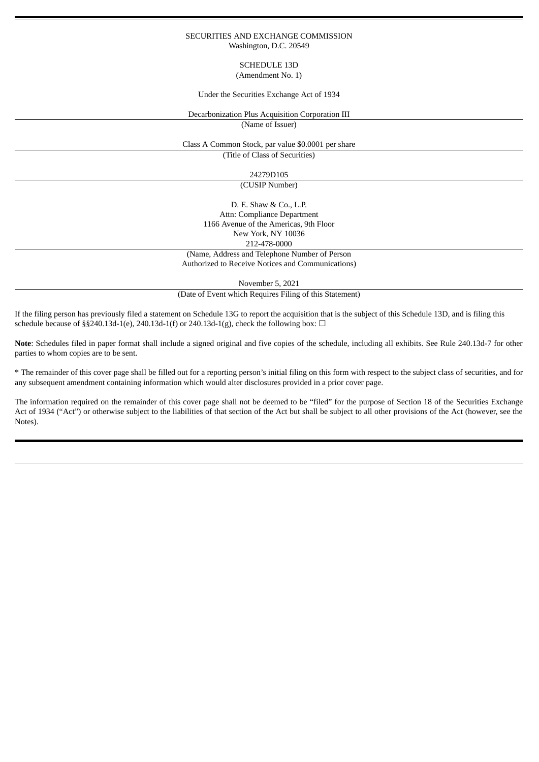#### SECURITIES AND EXCHANGE COMMISSION Washington, D.C. 20549

# SCHEDULE 13D (Amendment No. 1)

Under the Securities Exchange Act of 1934

Decarbonization Plus Acquisition Corporation III

(Name of Issuer)

Class A Common Stock, par value \$0.0001 per share

(Title of Class of Securities)

# 24279D105

(CUSIP Number)

D. E. Shaw & Co., L.P. Attn: Compliance Department 1166 Avenue of the Americas, 9th Floor New York, NY 10036 212-478-0000

(Name, Address and Telephone Number of Person Authorized to Receive Notices and Communications)

November 5, 2021

(Date of Event which Requires Filing of this Statement)

If the filing person has previously filed a statement on Schedule 13G to report the acquisition that is the subject of this Schedule 13D, and is filing this schedule because of §§240.13d-1(e), 240.13d-1(f) or 240.13d-1(g), check the following box:  $\Box$ 

**Note**: Schedules filed in paper format shall include a signed original and five copies of the schedule, including all exhibits. See Rule 240.13d-7 for other parties to whom copies are to be sent.

\* The remainder of this cover page shall be filled out for a reporting person's initial filing on this form with respect to the subject class of securities, and for any subsequent amendment containing information which would alter disclosures provided in a prior cover page.

The information required on the remainder of this cover page shall not be deemed to be "filed" for the purpose of Section 18 of the Securities Exchange Act of 1934 ("Act") or otherwise subject to the liabilities of that section of the Act but shall be subject to all other provisions of the Act (however, see the Notes).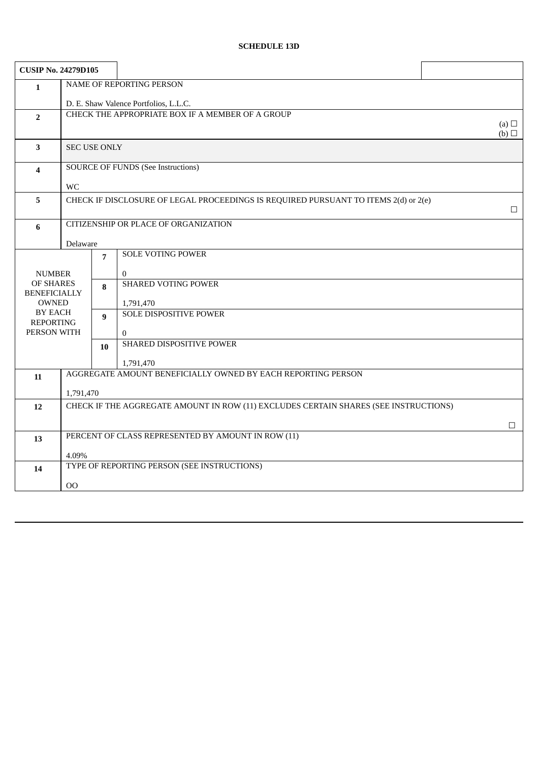# **SCHEDULE 13D**

| <b>CUSIP No. 24279D105</b>          |                                                                                                   |                                       |                                             |                   |  |
|-------------------------------------|---------------------------------------------------------------------------------------------------|---------------------------------------|---------------------------------------------|-------------------|--|
| $\mathbf{1}$                        | NAME OF REPORTING PERSON                                                                          |                                       |                                             |                   |  |
|                                     |                                                                                                   | D. E. Shaw Valence Portfolios, L.L.C. |                                             |                   |  |
| $\overline{2}$                      | CHECK THE APPROPRIATE BOX IF A MEMBER OF A GROUP                                                  |                                       |                                             |                   |  |
|                                     |                                                                                                   |                                       |                                             | (a) $\Box$<br>(b) |  |
| $\mathbf{3}$                        | <b>SEC USE ONLY</b>                                                                               |                                       |                                             |                   |  |
| $\overline{\mathbf{4}}$             | <b>SOURCE OF FUNDS (See Instructions)</b>                                                         |                                       |                                             |                   |  |
|                                     | <b>WC</b>                                                                                         |                                       |                                             |                   |  |
| 5                                   | CHECK IF DISCLOSURE OF LEGAL PROCEEDINGS IS REQUIRED PURSUANT TO ITEMS 2(d) or 2(e)<br>$\Box$     |                                       |                                             |                   |  |
| $6\phantom{1}$                      |                                                                                                   |                                       | CITIZENSHIP OR PLACE OF ORGANIZATION        |                   |  |
|                                     | Delaware                                                                                          |                                       |                                             |                   |  |
|                                     |                                                                                                   | 7                                     | <b>SOLE VOTING POWER</b>                    |                   |  |
| <b>NUMBER</b>                       |                                                                                                   |                                       | $\overline{0}$                              |                   |  |
| OF SHARES                           |                                                                                                   | 8                                     | <b>SHARED VOTING POWER</b>                  |                   |  |
| <b>BENEFICIALLY</b><br><b>OWNED</b> |                                                                                                   |                                       | 1,791,470                                   |                   |  |
|                                     | BY EACH<br>$\mathbf{q}$                                                                           |                                       | <b>SOLE DISPOSITIVE POWER</b>               |                   |  |
| <b>REPORTING</b><br>PERSON WITH     |                                                                                                   |                                       | $\overline{0}$                              |                   |  |
|                                     |                                                                                                   | 10                                    | SHARED DISPOSITIVE POWER                    |                   |  |
|                                     |                                                                                                   |                                       |                                             |                   |  |
| 11                                  | 1,791,470<br>AGGREGATE AMOUNT BENEFICIALLY OWNED BY EACH REPORTING PERSON                         |                                       |                                             |                   |  |
|                                     |                                                                                                   |                                       |                                             |                   |  |
| 12                                  | 1,791,470<br>CHECK IF THE AGGREGATE AMOUNT IN ROW (11) EXCLUDES CERTAIN SHARES (SEE INSTRUCTIONS) |                                       |                                             |                   |  |
|                                     |                                                                                                   |                                       |                                             | $\Box$            |  |
| 13                                  | PERCENT OF CLASS REPRESENTED BY AMOUNT IN ROW (11)                                                |                                       |                                             |                   |  |
|                                     | 4.09%                                                                                             |                                       |                                             |                   |  |
| 14                                  |                                                                                                   |                                       | TYPE OF REPORTING PERSON (SEE INSTRUCTIONS) |                   |  |
|                                     | 00                                                                                                |                                       |                                             |                   |  |
|                                     |                                                                                                   |                                       |                                             |                   |  |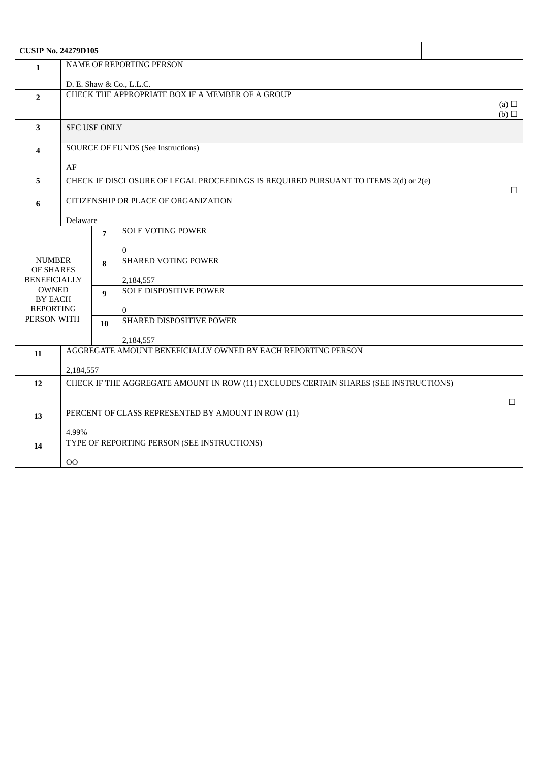| <b>CUSIP No. 24279D105</b>     |                                                                                               |                          |                                             |        |  |  |
|--------------------------------|-----------------------------------------------------------------------------------------------|--------------------------|---------------------------------------------|--------|--|--|
| $\mathbf{1}$                   | NAME OF REPORTING PERSON                                                                      |                          |                                             |        |  |  |
|                                |                                                                                               | D. E. Shaw & Co., L.L.C. |                                             |        |  |  |
| $\overline{2}$                 | CHECK THE APPROPRIATE BOX IF A MEMBER OF A GROUP<br>(a) $\Box$                                |                          |                                             |        |  |  |
|                                |                                                                                               | (b)                      |                                             |        |  |  |
| $\mathbf{3}$                   | <b>SEC USE ONLY</b>                                                                           |                          |                                             |        |  |  |
| $\overline{\mathbf{4}}$        | <b>SOURCE OF FUNDS (See Instructions)</b>                                                     |                          |                                             |        |  |  |
|                                |                                                                                               |                          |                                             |        |  |  |
|                                | AF                                                                                            |                          |                                             |        |  |  |
| 5                              | CHECK IF DISCLOSURE OF LEGAL PROCEEDINGS IS REQUIRED PURSUANT TO ITEMS 2(d) or 2(e)<br>$\Box$ |                          |                                             |        |  |  |
| 6                              | <b>CITIZENSHIP OR PLACE OF ORGANIZATION</b>                                                   |                          |                                             |        |  |  |
|                                | Delaware                                                                                      |                          |                                             |        |  |  |
|                                |                                                                                               | $\overline{7}$           | <b>SOLE VOTING POWER</b>                    |        |  |  |
|                                |                                                                                               |                          | $\overline{0}$                              |        |  |  |
| <b>NUMBER</b><br>OF SHARES     |                                                                                               | 8                        | <b>SHARED VOTING POWER</b>                  |        |  |  |
| <b>BENEFICIALLY</b>            |                                                                                               |                          | 2,184,557                                   |        |  |  |
| <b>OWNED</b><br><b>BY EACH</b> |                                                                                               | 9                        | <b>SOLE DISPOSITIVE POWER</b>               |        |  |  |
| <b>REPORTING</b>               |                                                                                               |                          | $\Omega$                                    |        |  |  |
| PERSON WITH                    |                                                                                               | 10                       | SHARED DISPOSITIVE POWER                    |        |  |  |
|                                |                                                                                               |                          | 2,184,557                                   |        |  |  |
| 11                             | AGGREGATE AMOUNT BENEFICIALLY OWNED BY EACH REPORTING PERSON                                  |                          |                                             |        |  |  |
|                                | 2,184,557                                                                                     |                          |                                             |        |  |  |
| 12                             | CHECK IF THE AGGREGATE AMOUNT IN ROW (11) EXCLUDES CERTAIN SHARES (SEE INSTRUCTIONS)          |                          |                                             |        |  |  |
|                                |                                                                                               |                          |                                             | $\Box$ |  |  |
| 13                             | PERCENT OF CLASS REPRESENTED BY AMOUNT IN ROW (11)                                            |                          |                                             |        |  |  |
|                                | 4.99%                                                                                         |                          |                                             |        |  |  |
| 14                             |                                                                                               |                          | TYPE OF REPORTING PERSON (SEE INSTRUCTIONS) |        |  |  |
|                                | $00\,$                                                                                        |                          |                                             |        |  |  |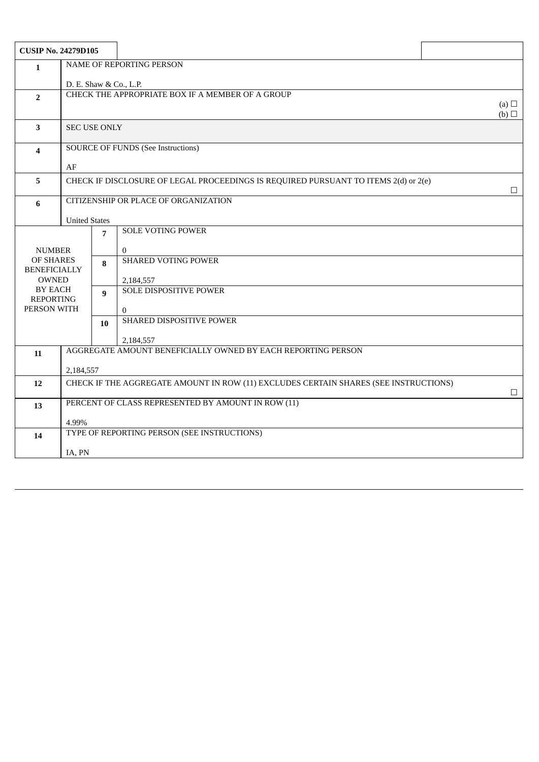| <b>CUSIP No. 24279D105</b>         |                                                                                                |                |                                                                                     |        |  |
|------------------------------------|------------------------------------------------------------------------------------------------|----------------|-------------------------------------------------------------------------------------|--------|--|
| $\mathbf{1}$                       | <b>NAME OF REPORTING PERSON</b>                                                                |                |                                                                                     |        |  |
|                                    | D. E. Shaw & Co., L.P.                                                                         |                |                                                                                     |        |  |
| $\overline{2}$                     | CHECK THE APPROPRIATE BOX IF A MEMBER OF A GROUP<br>(a) $\Box$                                 |                |                                                                                     |        |  |
|                                    | $(b)$ $\square$                                                                                |                |                                                                                     |        |  |
| $\overline{\mathbf{3}}$            | <b>SEC USE ONLY</b>                                                                            |                |                                                                                     |        |  |
| $\overline{\mathbf{4}}$            | <b>SOURCE OF FUNDS (See Instructions)</b>                                                      |                |                                                                                     |        |  |
|                                    |                                                                                                |                |                                                                                     |        |  |
| 5                                  | AF                                                                                             |                | CHECK IF DISCLOSURE OF LEGAL PROCEEDINGS IS REQUIRED PURSUANT TO ITEMS 2(d) or 2(e) |        |  |
|                                    |                                                                                                |                |                                                                                     | $\Box$ |  |
| 6                                  |                                                                                                |                | CITIZENSHIP OR PLACE OF ORGANIZATION                                                |        |  |
|                                    | <b>United States</b>                                                                           |                |                                                                                     |        |  |
|                                    |                                                                                                | $\overline{7}$ | <b>SOLE VOTING POWER</b>                                                            |        |  |
| <b>NUMBER</b>                      |                                                                                                |                | $\mathbf{0}$                                                                        |        |  |
| OF SHARES<br><b>BENEFICIALLY</b>   |                                                                                                | 8              | <b>SHARED VOTING POWER</b>                                                          |        |  |
| <b>OWNED</b>                       |                                                                                                |                | 2,184,557                                                                           |        |  |
| <b>BY EACH</b><br><b>REPORTING</b> |                                                                                                | 9              | <b>SOLE DISPOSITIVE POWER</b>                                                       |        |  |
| PERSON WITH                        |                                                                                                |                | $\overline{0}$                                                                      |        |  |
|                                    |                                                                                                | 10             | SHARED DISPOSITIVE POWER                                                            |        |  |
|                                    |                                                                                                |                | 2,184,557                                                                           |        |  |
| 11                                 | AGGREGATE AMOUNT BENEFICIALLY OWNED BY EACH REPORTING PERSON                                   |                |                                                                                     |        |  |
|                                    | 2,184,557                                                                                      |                |                                                                                     |        |  |
| 12                                 | CHECK IF THE AGGREGATE AMOUNT IN ROW (11) EXCLUDES CERTAIN SHARES (SEE INSTRUCTIONS)<br>$\Box$ |                |                                                                                     |        |  |
| 13                                 |                                                                                                |                | PERCENT OF CLASS REPRESENTED BY AMOUNT IN ROW (11)                                  |        |  |
|                                    | 4.99%                                                                                          |                |                                                                                     |        |  |
| 14                                 |                                                                                                |                | TYPE OF REPORTING PERSON (SEE INSTRUCTIONS)                                         |        |  |
|                                    | IA, PN                                                                                         |                |                                                                                     |        |  |
|                                    |                                                                                                |                |                                                                                     |        |  |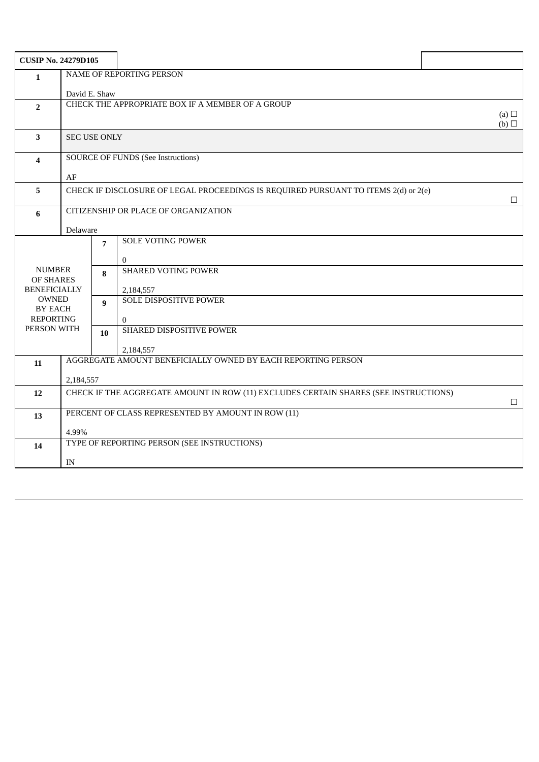| <b>CUSIP No. 24279D105</b> |                                                                                      |                                      |                                                              |                               |  |
|----------------------------|--------------------------------------------------------------------------------------|--------------------------------------|--------------------------------------------------------------|-------------------------------|--|
| $\mathbf{1}$               | NAME OF REPORTING PERSON                                                             |                                      |                                                              |                               |  |
|                            | David E. Shaw                                                                        |                                      |                                                              |                               |  |
| $\overline{2}$             | CHECK THE APPROPRIATE BOX IF A MEMBER OF A GROUP                                     |                                      |                                                              |                               |  |
|                            |                                                                                      |                                      |                                                              | (a) $\Box$<br>$(b)$ $\square$ |  |
| 3                          | <b>SEC USE ONLY</b>                                                                  |                                      |                                                              |                               |  |
| $\boldsymbol{4}$           | <b>SOURCE OF FUNDS (See Instructions)</b>                                            |                                      |                                                              |                               |  |
|                            | AF                                                                                   |                                      |                                                              |                               |  |
| 5                          | CHECK IF DISCLOSURE OF LEGAL PROCEEDINGS IS REQUIRED PURSUANT TO ITEMS 2(d) or 2(e)  |                                      |                                                              |                               |  |
|                            |                                                                                      |                                      |                                                              | $\Box$                        |  |
| 6                          |                                                                                      | CITIZENSHIP OR PLACE OF ORGANIZATION |                                                              |                               |  |
|                            | Delaware                                                                             |                                      |                                                              |                               |  |
|                            |                                                                                      | 7                                    | <b>SOLE VOTING POWER</b>                                     |                               |  |
|                            |                                                                                      |                                      | $\overline{0}$                                               |                               |  |
| <b>NUMBER</b><br>OF SHARES |                                                                                      | 8                                    | <b>SHARED VOTING POWER</b>                                   |                               |  |
| <b>BENEFICIALLY</b>        |                                                                                      |                                      | 2,184,557                                                    |                               |  |
| <b>OWNED</b><br>BY EACH    |                                                                                      | $\mathbf{q}$                         | SOLE DISPOSITIVE POWER                                       |                               |  |
| <b>REPORTING</b>           |                                                                                      |                                      | $\Omega$                                                     |                               |  |
| PERSON WITH                |                                                                                      | 10                                   | SHARED DISPOSITIVE POWER                                     |                               |  |
|                            |                                                                                      |                                      | 2,184,557                                                    |                               |  |
| 11                         |                                                                                      |                                      | AGGREGATE AMOUNT BENEFICIALLY OWNED BY EACH REPORTING PERSON |                               |  |
|                            | 2,184,557                                                                            |                                      |                                                              |                               |  |
| 12                         | CHECK IF THE AGGREGATE AMOUNT IN ROW (11) EXCLUDES CERTAIN SHARES (SEE INSTRUCTIONS) |                                      |                                                              | $\Box$                        |  |
| 13                         | PERCENT OF CLASS REPRESENTED BY AMOUNT IN ROW (11)                                   |                                      |                                                              |                               |  |
|                            | 4.99%                                                                                |                                      |                                                              |                               |  |
| 14                         |                                                                                      |                                      | TYPE OF REPORTING PERSON (SEE INSTRUCTIONS)                  |                               |  |
|                            | $\ensuremath{\text{IN}}$                                                             |                                      |                                                              |                               |  |
|                            |                                                                                      |                                      |                                                              |                               |  |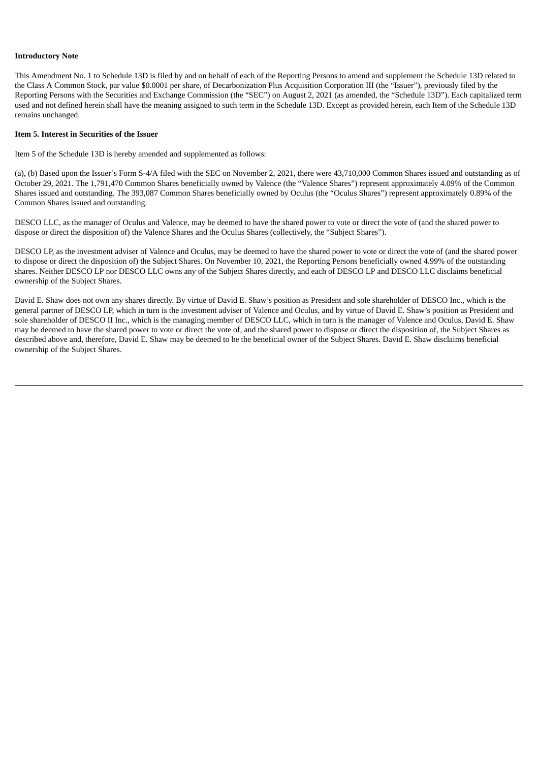## **Introductory Note**

This Amendment No. 1 to Schedule 13D is filed by and on behalf of each of the Reporting Persons to amend and supplement the Schedule 13D related to the Class A Common Stock, par value \$0.0001 per share, of Decarbonization Plus Acquisition Corporation III (the "Issuer"), previously filed by the Reporting Persons with the Securities and Exchange Commission (the "SEC") on August 2, 2021 (as amended, the "Schedule 13D"). Each capitalized term used and not defined herein shall have the meaning assigned to such term in the Schedule 13D. Except as provided herein, each Item of the Schedule 13D remains unchanged.

#### **Item 5. Interest in Securities of the Issuer**

Item 5 of the Schedule 13D is hereby amended and supplemented as follows:

(a), (b) Based upon the Issuer's Form S-4/A filed with the SEC on November 2, 2021, there were 43,710,000 Common Shares issued and outstanding as of October 29, 2021. The 1,791,470 Common Shares beneficially owned by Valence (the "Valence Shares") represent approximately 4.09% of the Common Shares issued and outstanding. The 393,087 Common Shares beneficially owned by Oculus (the "Oculus Shares") represent approximately 0.89% of the Common Shares issued and outstanding.

DESCO LLC, as the manager of Oculus and Valence, may be deemed to have the shared power to vote or direct the vote of (and the shared power to dispose or direct the disposition of) the Valence Shares and the Oculus Shares (collectively, the "Subject Shares").

DESCO LP, as the investment adviser of Valence and Oculus, may be deemed to have the shared power to vote or direct the vote of (and the shared power to dispose or direct the disposition of) the Subject Shares. On November 10, 2021, the Reporting Persons beneficially owned 4.99% of the outstanding shares. Neither DESCO LP nor DESCO LLC owns any of the Subject Shares directly, and each of DESCO LP and DESCO LLC disclaims beneficial ownership of the Subject Shares.

David E. Shaw does not own any shares directly. By virtue of David E. Shaw's position as President and sole shareholder of DESCO Inc., which is the general partner of DESCO LP, which in turn is the investment adviser of Valence and Oculus, and by virtue of David E. Shaw's position as President and sole shareholder of DESCO II Inc., which is the managing member of DESCO LLC, which in turn is the manager of Valence and Oculus, David E. Shaw may be deemed to have the shared power to vote or direct the vote of, and the shared power to dispose or direct the disposition of, the Subject Shares as described above and, therefore, David E. Shaw may be deemed to be the beneficial owner of the Subject Shares. David E. Shaw disclaims beneficial ownership of the Subject Shares.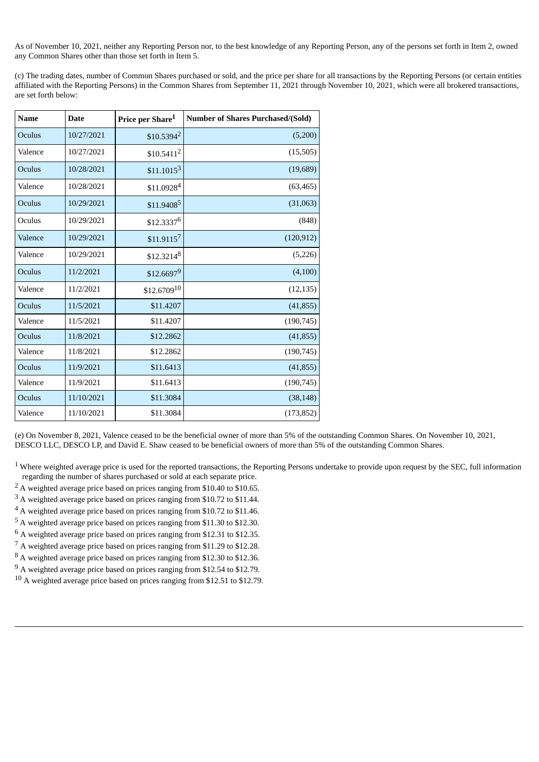As of November 10, 2021, neither any Reporting Person nor, to the best knowledge of any Reporting Person, any of the persons set forth in Item 2, owned any Common Shares other than those set forth in Item 5.

(c) The trading dates, number of Common Shares purchased or sold, and the price per share for all transactions by the Reporting Persons (or certain entities affiliated with the Reporting Persons) in the Common Shares from September 11, 2021 through November 10, 2021, which were all brokered transactions, are set forth below:

| <b>Name</b> | <b>Date</b> | Price per Share <sup>1</sup> | <b>Number of Shares Purchased/(Sold)</b> |
|-------------|-------------|------------------------------|------------------------------------------|
| Oculus      | 10/27/2021  | $$10.5394^2$                 | (5,200)                                  |
| Valence     | 10/27/2021  | \$10.5411 <sup>2</sup>       | (15, 505)                                |
| Oculus      | 10/28/2021  | $$11.1015^3$                 | (19,689)                                 |
| Valence     | 10/28/2021  | \$11.09284                   | (63, 465)                                |
| Oculus      | 10/29/2021  | \$11.9408 <sup>5</sup>       | (31,063)                                 |
| Oculus      | 10/29/2021  | \$12.33376                   | (848)                                    |
| Valence     | 10/29/2021  | $$11.9115^7$                 | (120, 912)                               |
| Valence     | 10/29/2021  | $$12.3214^8$                 | (5,226)                                  |
| Oculus      | 11/2/2021   | \$12.66979                   | (4,100)                                  |
| Valence     | 11/2/2021   | $$12.6709^{10}$              | (12, 135)                                |
| Oculus      | 11/5/2021   | \$11.4207                    | (41, 855)                                |
| Valence     | 11/5/2021   | \$11.4207                    | (190, 745)                               |
| Oculus      | 11/8/2021   | \$12,2862                    | (41, 855)                                |
| Valence     | 11/8/2021   | \$12,2862                    | (190, 745)                               |
| Oculus      | 11/9/2021   | \$11.6413                    | (41, 855)                                |
| Valence     | 11/9/2021   | \$11.6413                    | (190, 745)                               |
| Oculus      | 11/10/2021  | \$11.3084                    | (38, 148)                                |
| Valence     | 11/10/2021  | \$11.3084                    | (173, 852)                               |

(e) On November 8, 2021, Valence ceased to be the beneficial owner of more than 5% of the outstanding Common Shares. On November 10, 2021, DESCO LLC, DESCO LP, and David E. Shaw ceased to be beneficial owners of more than 5% of the outstanding Common Shares.

 $1$  Where weighted average price is used for the reported transactions, the Reporting Persons undertake to provide upon request by the SEC, full information regarding the number of shares purchased or sold at each separate price.

- <sup>2</sup> A weighted average price based on prices ranging from \$10.40 to \$10.65.
- $3$  A weighted average price based on prices ranging from \$10.72 to \$11.44.
- <sup>4</sup> A weighted average price based on prices ranging from \$10.72 to \$11.46.
- <sup>5</sup> A weighted average price based on prices ranging from \$11.30 to \$12.30.
- $^6$  A weighted average price based on prices ranging from \$12.31 to \$12.35.
- $^7$  A weighted average price based on prices ranging from \$11.29 to \$12.28.
- <sup>8</sup> A weighted average price based on prices ranging from \$12.30 to \$12.36.
- $9$  A weighted average price based on prices ranging from \$12.54 to \$12.79.
- <sup>10</sup> A weighted average price based on prices ranging from \$12.51 to \$12.79.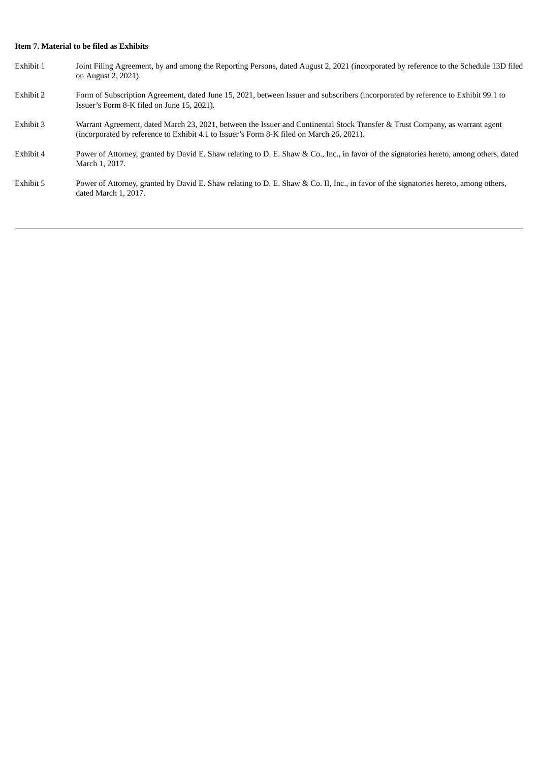# **Item 7. Material to be filed as Exhibits**

| Exhibit 1 | Joint Filing Agreement, by and among the Reporting Persons, dated August 2, 2021 (incorporated by reference to the Schedule 13D filed<br>on August 2, 2021).                                                             |
|-----------|--------------------------------------------------------------------------------------------------------------------------------------------------------------------------------------------------------------------------|
| Exhibit 2 | Form of Subscription Agreement, dated June 15, 2021, between Issuer and subscribers (incorporated by reference to Exhibit 99.1 to<br>Issuer's Form 8-K filed on June 15, 2021).                                          |
| Exhibit 3 | Warrant Agreement, dated March 23, 2021, between the Issuer and Continental Stock Transfer & Trust Company, as warrant agent<br>(incorporated by reference to Exhibit 4.1 to Issuer's Form 8-K filed on March 26, 2021). |
| Exhibit 4 | Power of Attorney, granted by David E. Shaw relating to D. E. Shaw & Co., Inc., in favor of the signatories hereto, among others, dated<br>March 1, 2017.                                                                |
| Exhibit 5 | Power of Attorney, granted by David E. Shaw relating to D. E. Shaw & Co. II, Inc., in favor of the signatories hereto, among others,<br>dated March 1, 2017.                                                             |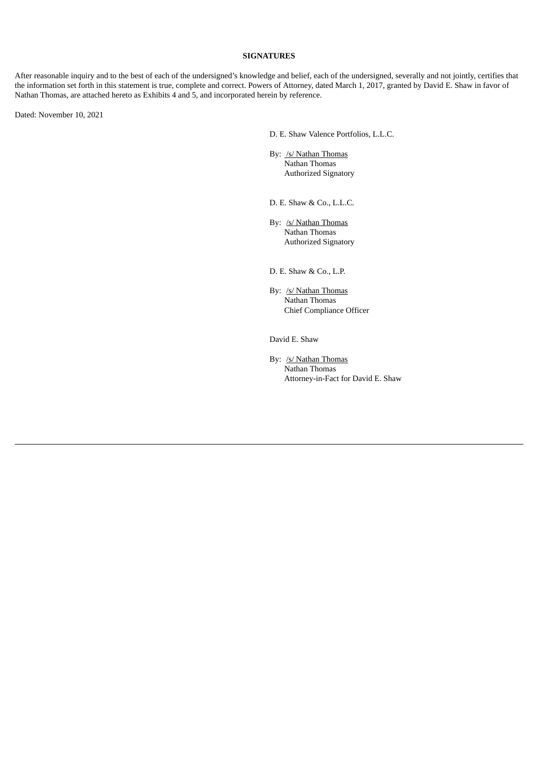## **SIGNATURES**

After reasonable inquiry and to the best of each of the undersigned's knowledge and belief, each of the undersigned, severally and not jointly, certifies that the information set forth in this statement is true, complete and correct. Powers of Attorney, dated March 1, 2017, granted by David E. Shaw in favor of Nathan Thomas, are attached hereto as Exhibits 4 and 5, and incorporated herein by reference.

Dated: November 10, 2021

D. E. Shaw Valence Portfolios, L.L.C.

By: /s/ Nathan Thomas Nathan Thomas Authorized Signatory

D. E. Shaw & Co., L.L.C.

By: /s/ Nathan Thomas Nathan Thomas Authorized Signatory

D. E. Shaw & Co., L.P.

By: /s/ Nathan Thomas Nathan Thomas Chief Compliance Officer

David E. Shaw

By: /s/ Nathan Thomas Nathan Thomas Attorney-in-Fact for David E. Shaw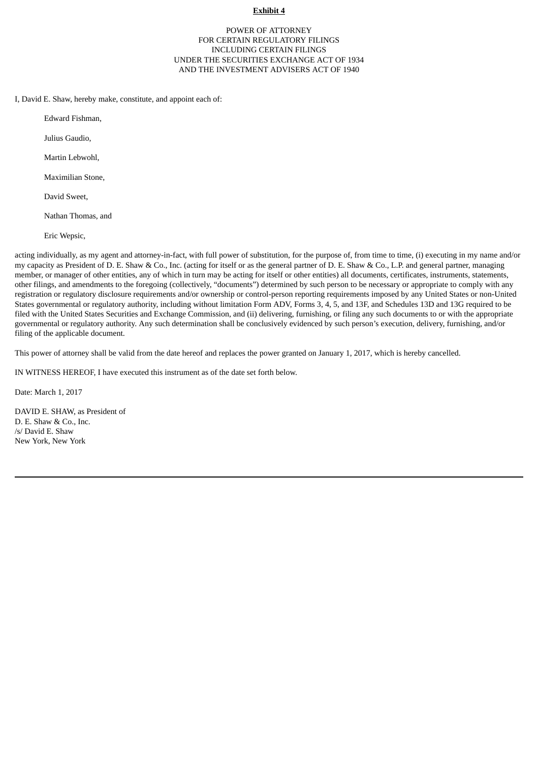## **Exhibit 4**

# POWER OF ATTORNEY FOR CERTAIN REGULATORY FILINGS INCLUDING CERTAIN FILINGS UNDER THE SECURITIES EXCHANGE ACT OF 1934 AND THE INVESTMENT ADVISERS ACT OF 1940

I, David E. Shaw, hereby make, constitute, and appoint each of:

Edward Fishman,

Julius Gaudio,

Martin Lebwohl,

Maximilian Stone,

David Sweet,

Nathan Thomas, and

Eric Wepsic,

acting individually, as my agent and attorney-in-fact, with full power of substitution, for the purpose of, from time to time, (i) executing in my name and/or my capacity as President of D. E. Shaw & Co., Inc. (acting for itself or as the general partner of D. E. Shaw & Co., L.P. and general partner, managing member, or manager of other entities, any of which in turn may be acting for itself or other entities) all documents, certificates, instruments, statements, other filings, and amendments to the foregoing (collectively, "documents") determined by such person to be necessary or appropriate to comply with any registration or regulatory disclosure requirements and/or ownership or control-person reporting requirements imposed by any United States or non-United States governmental or regulatory authority, including without limitation Form ADV, Forms 3, 4, 5, and 13F, and Schedules 13D and 13G required to be filed with the United States Securities and Exchange Commission, and (ii) delivering, furnishing, or filing any such documents to or with the appropriate governmental or regulatory authority. Any such determination shall be conclusively evidenced by such person's execution, delivery, furnishing, and/or filing of the applicable document.

This power of attorney shall be valid from the date hereof and replaces the power granted on January 1, 2017, which is hereby cancelled.

IN WITNESS HEREOF, I have executed this instrument as of the date set forth below.

Date: March 1, 2017

DAVID E. SHAW, as President of D. E. Shaw & Co., Inc. /s/ David E. Shaw New York, New York